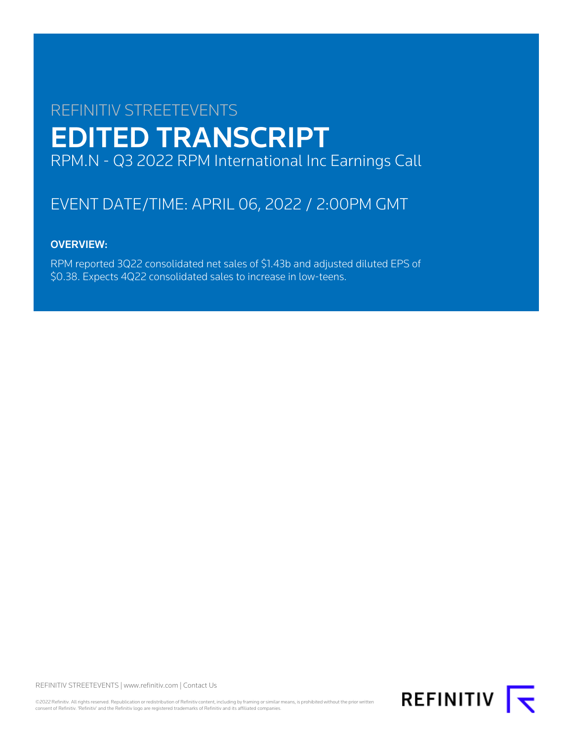# REFINITIV STREETEVENTS EDITED TRANSCRIPT RPM.N - Q3 2022 RPM International Inc Earnings Call

## EVENT DATE/TIME: APRIL 06, 2022 / 2:00PM GMT

## OVERVIEW:

RPM reported 3Q22 consolidated net sales of \$1.43b and adjusted diluted EPS of \$0.38. Expects 4Q22 consolidated sales to increase in low-teens.

REFINITIV STREETEVENTS | [www.refinitiv.com](https://www.refinitiv.com/) | [Contact Us](https://www.refinitiv.com/en/contact-us)

©2022 Refinitiv. All rights reserved. Republication or redistribution of Refinitiv content, including by framing or similar means, is prohibited without the prior written consent of Refinitiv. 'Refinitiv' and the Refinitiv logo are registered trademarks of Refinitiv and its affiliated companies.

**REFINITIV**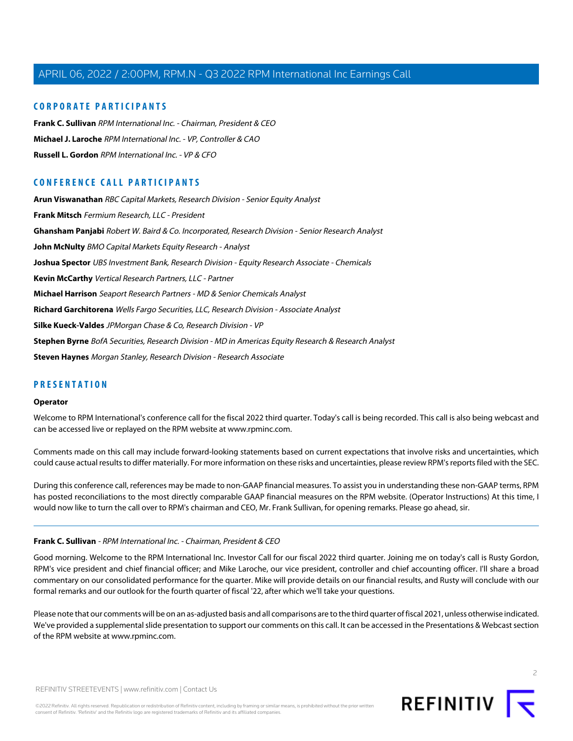#### **CORPORATE PARTICIPANTS**

**[Frank C. Sullivan](#page-1-0)** RPM International Inc. - Chairman, President & CEO **[Michael J. Laroche](#page-2-0)** RPM International Inc. - VP, Controller & CAO **[Russell L. Gordon](#page-4-0)** RPM International Inc. - VP & CFO

### **CONFERENCE CALL PARTICIPANTS**

**[Arun Viswanathan](#page-11-0)** RBC Capital Markets, Research Division - Senior Equity Analyst **[Frank Mitsch](#page-4-1)** Fermium Research, LLC - President **[Ghansham Panjabi](#page-7-0)** Robert W. Baird & Co. Incorporated, Research Division - Senior Research Analyst **[John McNulty](#page-5-0)** BMO Capital Markets Equity Research - Analyst **[Joshua Spector](#page-12-0)** UBS Investment Bank, Research Division - Equity Research Associate - Chemicals **[Kevin McCarthy](#page-10-0)** Vertical Research Partners, LLC - Partner **[Michael Harrison](#page-16-0)** Seaport Research Partners - MD & Senior Chemicals Analyst **[Richard Garchitorena](#page-15-0)** Wells Fargo Securities, LLC, Research Division - Associate Analyst **[Silke Kueck-Valdes](#page-13-0)** JPMorgan Chase & Co, Research Division - VP **[Stephen Byrne](#page-8-0)** BofA Securities, Research Division - MD in Americas Equity Research & Research Analyst **[Steven Haynes](#page-9-0)** Morgan Stanley, Research Division - Research Associate

#### **PRESENTATION**

#### **Operator**

Welcome to RPM International's conference call for the fiscal 2022 third quarter. Today's call is being recorded. This call is also being webcast and can be accessed live or replayed on the RPM website at www.rpminc.com.

Comments made on this call may include forward-looking statements based on current expectations that involve risks and uncertainties, which could cause actual results to differ materially. For more information on these risks and uncertainties, please review RPM's reports filed with the SEC.

<span id="page-1-0"></span>During this conference call, references may be made to non-GAAP financial measures. To assist you in understanding these non-GAAP terms, RPM has posted reconciliations to the most directly comparable GAAP financial measures on the RPM website. (Operator Instructions) At this time, I would now like to turn the call over to RPM's chairman and CEO, Mr. Frank Sullivan, for opening remarks. Please go ahead, sir.

#### **Frank C. Sullivan** - RPM International Inc. - Chairman, President & CEO

Good morning. Welcome to the RPM International Inc. Investor Call for our fiscal 2022 third quarter. Joining me on today's call is Rusty Gordon, RPM's vice president and chief financial officer; and Mike Laroche, our vice president, controller and chief accounting officer. I'll share a broad commentary on our consolidated performance for the quarter. Mike will provide details on our financial results, and Rusty will conclude with our formal remarks and our outlook for the fourth quarter of fiscal '22, after which we'll take your questions.

Please note that our comments will be on an as-adjusted basis and all comparisons are to the third quarter of fiscal 2021, unless otherwise indicated. We've provided a supplemental slide presentation to support our comments on this call. It can be accessed in the Presentations & Webcast section of the RPM website at www.rpminc.com.

 $\overline{2}$ 

REFINITIV STREETEVENTS | [www.refinitiv.com](https://www.refinitiv.com/) | [Contact Us](https://www.refinitiv.com/en/contact-us)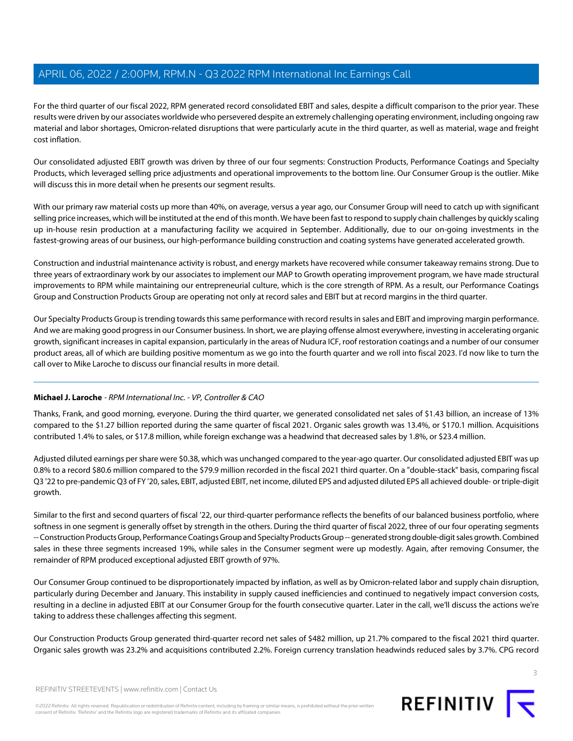For the third quarter of our fiscal 2022, RPM generated record consolidated EBIT and sales, despite a difficult comparison to the prior year. These results were driven by our associates worldwide who persevered despite an extremely challenging operating environment, including ongoing raw material and labor shortages, Omicron-related disruptions that were particularly acute in the third quarter, as well as material, wage and freight cost inflation.

Our consolidated adjusted EBIT growth was driven by three of our four segments: Construction Products, Performance Coatings and Specialty Products, which leveraged selling price adjustments and operational improvements to the bottom line. Our Consumer Group is the outlier. Mike will discuss this in more detail when he presents our segment results.

With our primary raw material costs up more than 40%, on average, versus a year ago, our Consumer Group will need to catch up with significant selling price increases, which will be instituted at the end of this month. We have been fast to respond to supply chain challenges by quickly scaling up in-house resin production at a manufacturing facility we acquired in September. Additionally, due to our on-going investments in the fastest-growing areas of our business, our high-performance building construction and coating systems have generated accelerated growth.

Construction and industrial maintenance activity is robust, and energy markets have recovered while consumer takeaway remains strong. Due to three years of extraordinary work by our associates to implement our MAP to Growth operating improvement program, we have made structural improvements to RPM while maintaining our entrepreneurial culture, which is the core strength of RPM. As a result, our Performance Coatings Group and Construction Products Group are operating not only at record sales and EBIT but at record margins in the third quarter.

Our Specialty Products Group is trending towards this same performance with record results in sales and EBIT and improving margin performance. And we are making good progress in our Consumer business. In short, we are playing offense almost everywhere, investing in accelerating organic growth, significant increases in capital expansion, particularly in the areas of Nudura ICF, roof restoration coatings and a number of our consumer product areas, all of which are building positive momentum as we go into the fourth quarter and we roll into fiscal 2023. I'd now like to turn the call over to Mike Laroche to discuss our financial results in more detail.

#### <span id="page-2-0"></span>**Michael J. Laroche** - RPM International Inc. - VP, Controller & CAO

Thanks, Frank, and good morning, everyone. During the third quarter, we generated consolidated net sales of \$1.43 billion, an increase of 13% compared to the \$1.27 billion reported during the same quarter of fiscal 2021. Organic sales growth was 13.4%, or \$170.1 million. Acquisitions contributed 1.4% to sales, or \$17.8 million, while foreign exchange was a headwind that decreased sales by 1.8%, or \$23.4 million.

Adjusted diluted earnings per share were \$0.38, which was unchanged compared to the year-ago quarter. Our consolidated adjusted EBIT was up 0.8% to a record \$80.6 million compared to the \$79.9 million recorded in the fiscal 2021 third quarter. On a "double-stack" basis, comparing fiscal Q3 '22 to pre-pandemic Q3 of FY '20, sales, EBIT, adjusted EBIT, net income, diluted EPS and adjusted diluted EPS all achieved double- or triple-digit growth.

Similar to the first and second quarters of fiscal '22, our third-quarter performance reflects the benefits of our balanced business portfolio, where softness in one segment is generally offset by strength in the others. During the third quarter of fiscal 2022, three of our four operating segments -- Construction Products Group, Performance Coatings Group and Specialty Products Group -- generated strong double-digit sales growth. Combined sales in these three segments increased 19%, while sales in the Consumer segment were up modestly. Again, after removing Consumer, the remainder of RPM produced exceptional adjusted EBIT growth of 97%.

Our Consumer Group continued to be disproportionately impacted by inflation, as well as by Omicron-related labor and supply chain disruption, particularly during December and January. This instability in supply caused inefficiencies and continued to negatively impact conversion costs, resulting in a decline in adjusted EBIT at our Consumer Group for the fourth consecutive quarter. Later in the call, we'll discuss the actions we're taking to address these challenges affecting this segment.

Our Construction Products Group generated third-quarter record net sales of \$482 million, up 21.7% compared to the fiscal 2021 third quarter. Organic sales growth was 23.2% and acquisitions contributed 2.2%. Foreign currency translation headwinds reduced sales by 3.7%. CPG record

3

REFINITIV STREETEVENTS | [www.refinitiv.com](https://www.refinitiv.com/) | [Contact Us](https://www.refinitiv.com/en/contact-us)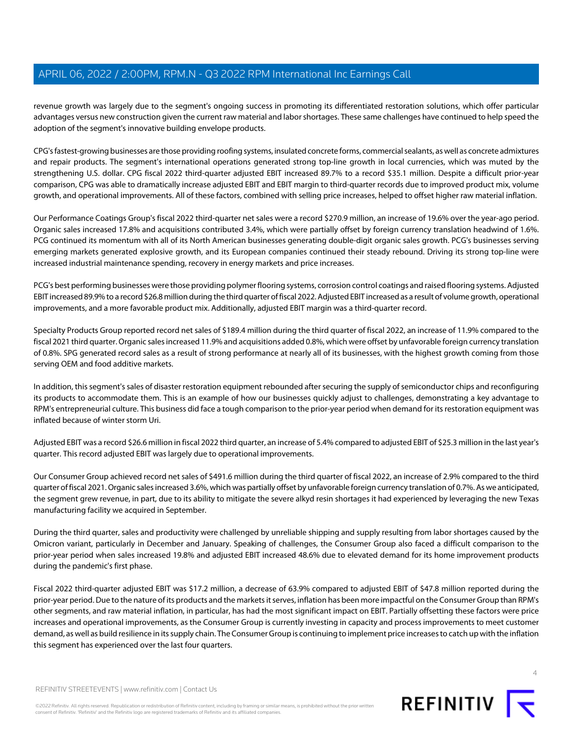revenue growth was largely due to the segment's ongoing success in promoting its differentiated restoration solutions, which offer particular advantages versus new construction given the current raw material and labor shortages. These same challenges have continued to help speed the adoption of the segment's innovative building envelope products.

CPG's fastest-growing businesses are those providing roofing systems, insulated concrete forms, commercial sealants, as well as concrete admixtures and repair products. The segment's international operations generated strong top-line growth in local currencies, which was muted by the strengthening U.S. dollar. CPG fiscal 2022 third-quarter adjusted EBIT increased 89.7% to a record \$35.1 million. Despite a difficult prior-year comparison, CPG was able to dramatically increase adjusted EBIT and EBIT margin to third-quarter records due to improved product mix, volume growth, and operational improvements. All of these factors, combined with selling price increases, helped to offset higher raw material inflation.

Our Performance Coatings Group's fiscal 2022 third-quarter net sales were a record \$270.9 million, an increase of 19.6% over the year-ago period. Organic sales increased 17.8% and acquisitions contributed 3.4%, which were partially offset by foreign currency translation headwind of 1.6%. PCG continued its momentum with all of its North American businesses generating double-digit organic sales growth. PCG's businesses serving emerging markets generated explosive growth, and its European companies continued their steady rebound. Driving its strong top-line were increased industrial maintenance spending, recovery in energy markets and price increases.

PCG's best performing businesses were those providing polymer flooring systems, corrosion control coatings and raised flooring systems. Adjusted EBIT increased 89.9% to a record \$26.8 million during the third quarter of fiscal 2022. Adjusted EBIT increased as a result of volume growth, operational improvements, and a more favorable product mix. Additionally, adjusted EBIT margin was a third-quarter record.

Specialty Products Group reported record net sales of \$189.4 million during the third quarter of fiscal 2022, an increase of 11.9% compared to the fiscal 2021 third quarter. Organic sales increased 11.9% and acquisitions added 0.8%, which were offset by unfavorable foreign currency translation of 0.8%. SPG generated record sales as a result of strong performance at nearly all of its businesses, with the highest growth coming from those serving OEM and food additive markets.

In addition, this segment's sales of disaster restoration equipment rebounded after securing the supply of semiconductor chips and reconfiguring its products to accommodate them. This is an example of how our businesses quickly adjust to challenges, demonstrating a key advantage to RPM's entrepreneurial culture. This business did face a tough comparison to the prior-year period when demand for its restoration equipment was inflated because of winter storm Uri.

Adjusted EBIT was a record \$26.6 million in fiscal 2022 third quarter, an increase of 5.4% compared to adjusted EBIT of \$25.3 million in the last year's quarter. This record adjusted EBIT was largely due to operational improvements.

Our Consumer Group achieved record net sales of \$491.6 million during the third quarter of fiscal 2022, an increase of 2.9% compared to the third quarter of fiscal 2021. Organic sales increased 3.6%, which was partially offset by unfavorable foreign currency translation of 0.7%. As we anticipated, the segment grew revenue, in part, due to its ability to mitigate the severe alkyd resin shortages it had experienced by leveraging the new Texas manufacturing facility we acquired in September.

During the third quarter, sales and productivity were challenged by unreliable shipping and supply resulting from labor shortages caused by the Omicron variant, particularly in December and January. Speaking of challenges, the Consumer Group also faced a difficult comparison to the prior-year period when sales increased 19.8% and adjusted EBIT increased 48.6% due to elevated demand for its home improvement products during the pandemic's first phase.

Fiscal 2022 third-quarter adjusted EBIT was \$17.2 million, a decrease of 63.9% compared to adjusted EBIT of \$47.8 million reported during the prior-year period. Due to the nature of its products and the markets it serves, inflation has been more impactful on the Consumer Group than RPM's other segments, and raw material inflation, in particular, has had the most significant impact on EBIT. Partially offsetting these factors were price increases and operational improvements, as the Consumer Group is currently investing in capacity and process improvements to meet customer demand, as well as build resilience in its supply chain. The Consumer Group is continuing to implement price increases to catch up with the inflation this segment has experienced over the last four quarters.

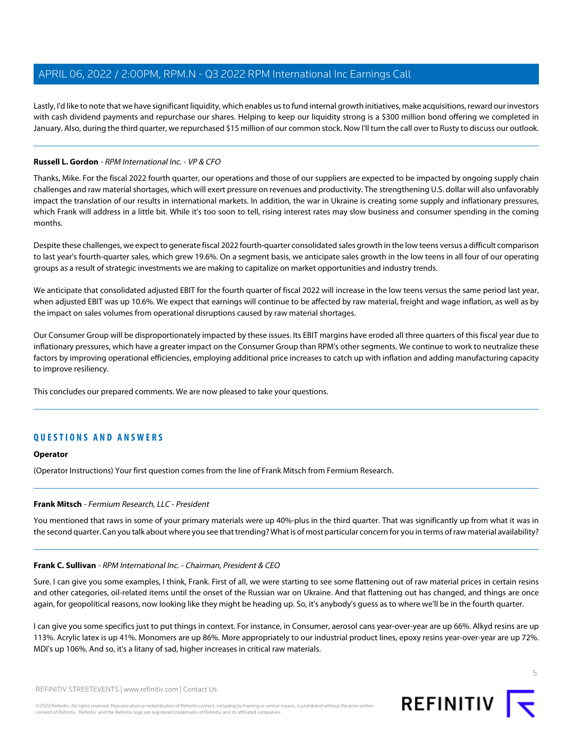Lastly, I'd like to note that we have significant liquidity, which enables us to fund internal growth initiatives, make acquisitions, reward our investors with cash dividend payments and repurchase our shares. Helping to keep our liquidity strong is a \$300 million bond offering we completed in January. Also, during the third quarter, we repurchased \$15 million of our common stock. Now I'll turn the call over to Rusty to discuss our outlook.

#### <span id="page-4-0"></span>**Russell L. Gordon** - RPM International Inc. - VP & CFO

Thanks, Mike. For the fiscal 2022 fourth quarter, our operations and those of our suppliers are expected to be impacted by ongoing supply chain challenges and raw material shortages, which will exert pressure on revenues and productivity. The strengthening U.S. dollar will also unfavorably impact the translation of our results in international markets. In addition, the war in Ukraine is creating some supply and inflationary pressures, which Frank will address in a little bit. While it's too soon to tell, rising interest rates may slow business and consumer spending in the coming months.

Despite these challenges, we expect to generate fiscal 2022 fourth-quarter consolidated sales growth in the low teens versus a difficult comparison to last year's fourth-quarter sales, which grew 19.6%. On a segment basis, we anticipate sales growth in the low teens in all four of our operating groups as a result of strategic investments we are making to capitalize on market opportunities and industry trends.

We anticipate that consolidated adjusted EBIT for the fourth quarter of fiscal 2022 will increase in the low teens versus the same period last year, when adjusted EBIT was up 10.6%. We expect that earnings will continue to be affected by raw material, freight and wage inflation, as well as by the impact on sales volumes from operational disruptions caused by raw material shortages.

Our Consumer Group will be disproportionately impacted by these issues. Its EBIT margins have eroded all three quarters of this fiscal year due to inflationary pressures, which have a greater impact on the Consumer Group than RPM's other segments. We continue to work to neutralize these factors by improving operational efficiencies, employing additional price increases to catch up with inflation and adding manufacturing capacity to improve resiliency.

This concludes our prepared comments. We are now pleased to take your questions.

## **QUESTIONS AND ANSWERS**

#### <span id="page-4-1"></span>**Operator**

(Operator Instructions) Your first question comes from the line of Frank Mitsch from Fermium Research.

#### **Frank Mitsch** - Fermium Research, LLC - President

You mentioned that raws in some of your primary materials were up 40%-plus in the third quarter. That was significantly up from what it was in the second quarter. Can you talk about where you see that trending? What is of most particular concern for you in terms of raw material availability?

#### **Frank C. Sullivan** - RPM International Inc. - Chairman, President & CEO

Sure. I can give you some examples, I think, Frank. First of all, we were starting to see some flattening out of raw material prices in certain resins and other categories, oil-related items until the onset of the Russian war on Ukraine. And that flattening out has changed, and things are once again, for geopolitical reasons, now looking like they might be heading up. So, it's anybody's guess as to where we'll be in the fourth quarter.

I can give you some specifics just to put things in context. For instance, in Consumer, aerosol cans year-over-year are up 66%. Alkyd resins are up 113%. Acrylic latex is up 41%. Monomers are up 86%. More appropriately to our industrial product lines, epoxy resins year-over-year are up 72%. MDI's up 106%. And so, it's a litany of sad, higher increases in critical raw materials.

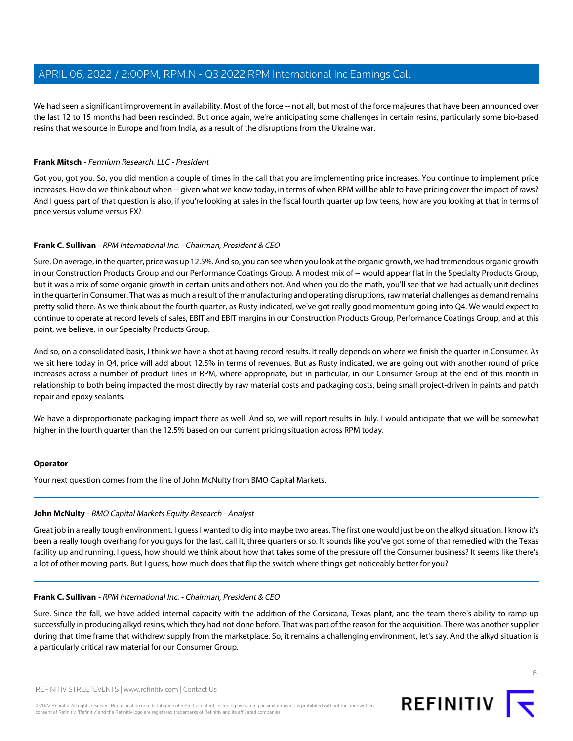We had seen a significant improvement in availability. Most of the force -- not all, but most of the force majeures that have been announced over the last 12 to 15 months had been rescinded. But once again, we're anticipating some challenges in certain resins, particularly some bio-based resins that we source in Europe and from India, as a result of the disruptions from the Ukraine war.

#### **Frank Mitsch** - Fermium Research, LLC - President

Got you, got you. So, you did mention a couple of times in the call that you are implementing price increases. You continue to implement price increases. How do we think about when -- given what we know today, in terms of when RPM will be able to have pricing cover the impact of raws? And I guess part of that question is also, if you're looking at sales in the fiscal fourth quarter up low teens, how are you looking at that in terms of price versus volume versus FX?

#### **Frank C. Sullivan** - RPM International Inc. - Chairman, President & CEO

Sure. On average, in the quarter, price was up 12.5%. And so, you can see when you look at the organic growth, we had tremendous organic growth in our Construction Products Group and our Performance Coatings Group. A modest mix of -- would appear flat in the Specialty Products Group, but it was a mix of some organic growth in certain units and others not. And when you do the math, you'll see that we had actually unit declines in the quarter in Consumer. That was as much a result of the manufacturing and operating disruptions, raw material challenges as demand remains pretty solid there. As we think about the fourth quarter, as Rusty indicated, we've got really good momentum going into Q4. We would expect to continue to operate at record levels of sales, EBIT and EBIT margins in our Construction Products Group, Performance Coatings Group, and at this point, we believe, in our Specialty Products Group.

And so, on a consolidated basis, I think we have a shot at having record results. It really depends on where we finish the quarter in Consumer. As we sit here today in Q4, price will add about 12.5% in terms of revenues. But as Rusty indicated, we are going out with another round of price increases across a number of product lines in RPM, where appropriate, but in particular, in our Consumer Group at the end of this month in relationship to both being impacted the most directly by raw material costs and packaging costs, being small project-driven in paints and patch repair and epoxy sealants.

We have a disproportionate packaging impact there as well. And so, we will report results in July. I would anticipate that we will be somewhat higher in the fourth quarter than the 12.5% based on our current pricing situation across RPM today.

#### <span id="page-5-0"></span>**Operator**

Your next question comes from the line of John McNulty from BMO Capital Markets.

#### **John McNulty** - BMO Capital Markets Equity Research - Analyst

Great job in a really tough environment. I guess I wanted to dig into maybe two areas. The first one would just be on the alkyd situation. I know it's been a really tough overhang for you guys for the last, call it, three quarters or so. It sounds like you've got some of that remedied with the Texas facility up and running. I guess, how should we think about how that takes some of the pressure off the Consumer business? It seems like there's a lot of other moving parts. But I guess, how much does that flip the switch where things get noticeably better for you?

#### **Frank C. Sullivan** - RPM International Inc. - Chairman, President & CEO

Sure. Since the fall, we have added internal capacity with the addition of the Corsicana, Texas plant, and the team there's ability to ramp up successfully in producing alkyd resins, which they had not done before. That was part of the reason for the acquisition. There was another supplier during that time frame that withdrew supply from the marketplace. So, it remains a challenging environment, let's say. And the alkyd situation is a particularly critical raw material for our Consumer Group.



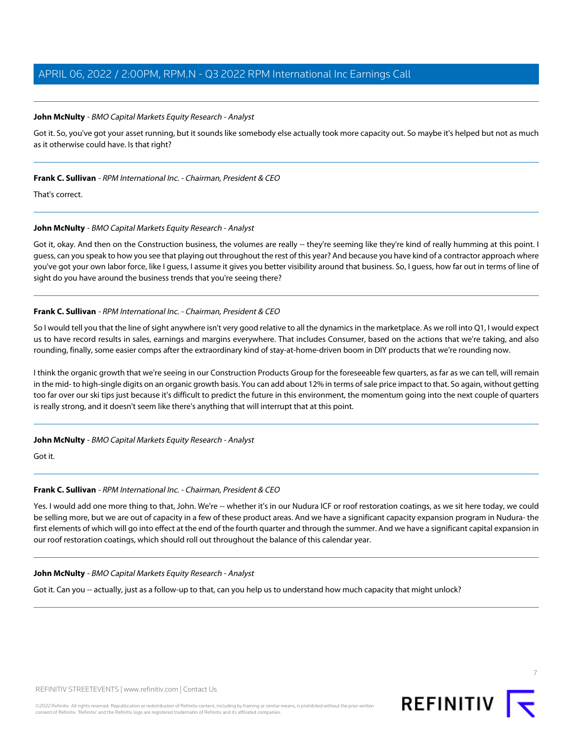#### **John McNulty** - BMO Capital Markets Equity Research - Analyst

Got it. So, you've got your asset running, but it sounds like somebody else actually took more capacity out. So maybe it's helped but not as much as it otherwise could have. Is that right?

#### **Frank C. Sullivan** - RPM International Inc. - Chairman, President & CEO

That's correct.

#### **John McNulty** - BMO Capital Markets Equity Research - Analyst

Got it, okay. And then on the Construction business, the volumes are really -- they're seeming like they're kind of really humming at this point. I guess, can you speak to how you see that playing out throughout the rest of this year? And because you have kind of a contractor approach where you've got your own labor force, like I guess, I assume it gives you better visibility around that business. So, I guess, how far out in terms of line of sight do you have around the business trends that you're seeing there?

#### **Frank C. Sullivan** - RPM International Inc. - Chairman, President & CEO

So I would tell you that the line of sight anywhere isn't very good relative to all the dynamics in the marketplace. As we roll into Q1, I would expect us to have record results in sales, earnings and margins everywhere. That includes Consumer, based on the actions that we're taking, and also rounding, finally, some easier comps after the extraordinary kind of stay-at-home-driven boom in DIY products that we're rounding now.

I think the organic growth that we're seeing in our Construction Products Group for the foreseeable few quarters, as far as we can tell, will remain in the mid- to high-single digits on an organic growth basis. You can add about 12% in terms of sale price impact to that. So again, without getting too far over our ski tips just because it's difficult to predict the future in this environment, the momentum going into the next couple of quarters is really strong, and it doesn't seem like there's anything that will interrupt that at this point.

#### **John McNulty** - BMO Capital Markets Equity Research - Analyst

Got it.

#### **Frank C. Sullivan** - RPM International Inc. - Chairman, President & CEO

Yes. I would add one more thing to that, John. We're -- whether it's in our Nudura ICF or roof restoration coatings, as we sit here today, we could be selling more, but we are out of capacity in a few of these product areas. And we have a significant capacity expansion program in Nudura- the first elements of which will go into effect at the end of the fourth quarter and through the summer. And we have a significant capital expansion in our roof restoration coatings, which should roll out throughout the balance of this calendar year.

#### **John McNulty** - BMO Capital Markets Equity Research - Analyst

Got it. Can you -- actually, just as a follow-up to that, can you help us to understand how much capacity that might unlock?

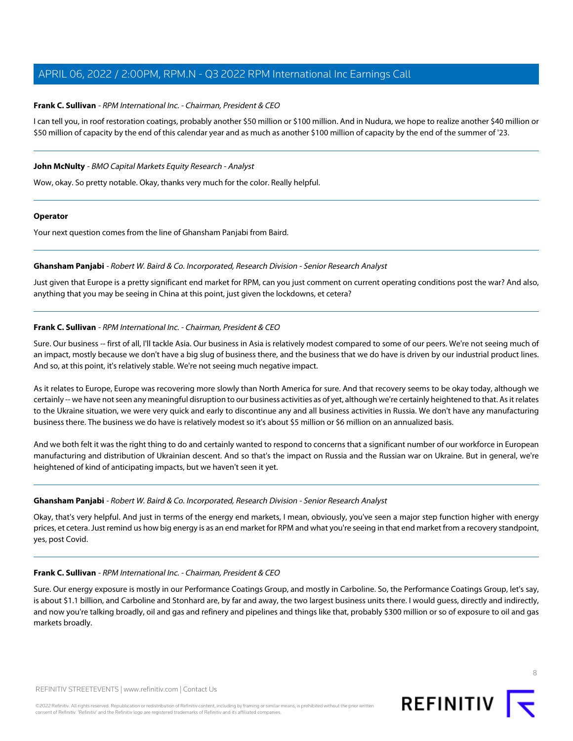#### **Frank C. Sullivan** - RPM International Inc. - Chairman, President & CEO

I can tell you, in roof restoration coatings, probably another \$50 million or \$100 million. And in Nudura, we hope to realize another \$40 million or \$50 million of capacity by the end of this calendar year and as much as another \$100 million of capacity by the end of the summer of '23.

#### **John McNulty** - BMO Capital Markets Equity Research - Analyst

Wow, okay. So pretty notable. Okay, thanks very much for the color. Really helpful.

#### **Operator**

<span id="page-7-0"></span>Your next question comes from the line of Ghansham Panjabi from Baird.

#### **Ghansham Panjabi** - Robert W. Baird & Co. Incorporated, Research Division - Senior Research Analyst

Just given that Europe is a pretty significant end market for RPM, can you just comment on current operating conditions post the war? And also, anything that you may be seeing in China at this point, just given the lockdowns, et cetera?

#### **Frank C. Sullivan** - RPM International Inc. - Chairman, President & CEO

Sure. Our business -- first of all, I'll tackle Asia. Our business in Asia is relatively modest compared to some of our peers. We're not seeing much of an impact, mostly because we don't have a big slug of business there, and the business that we do have is driven by our industrial product lines. And so, at this point, it's relatively stable. We're not seeing much negative impact.

As it relates to Europe, Europe was recovering more slowly than North America for sure. And that recovery seems to be okay today, although we certainly -- we have not seen any meaningful disruption to our business activities as of yet, although we're certainly heightened to that. As it relates to the Ukraine situation, we were very quick and early to discontinue any and all business activities in Russia. We don't have any manufacturing business there. The business we do have is relatively modest so it's about \$5 million or \$6 million on an annualized basis.

And we both felt it was the right thing to do and certainly wanted to respond to concerns that a significant number of our workforce in European manufacturing and distribution of Ukrainian descent. And so that's the impact on Russia and the Russian war on Ukraine. But in general, we're heightened of kind of anticipating impacts, but we haven't seen it yet.

#### **Ghansham Panjabi** - Robert W. Baird & Co. Incorporated, Research Division - Senior Research Analyst

Okay, that's very helpful. And just in terms of the energy end markets, I mean, obviously, you've seen a major step function higher with energy prices, et cetera. Just remind us how big energy is as an end market for RPM and what you're seeing in that end market from a recovery standpoint, yes, post Covid.

#### **Frank C. Sullivan** - RPM International Inc. - Chairman, President & CEO

Sure. Our energy exposure is mostly in our Performance Coatings Group, and mostly in Carboline. So, the Performance Coatings Group, let's say, is about \$1.1 billion, and Carboline and Stonhard are, by far and away, the two largest business units there. I would guess, directly and indirectly, and now you're talking broadly, oil and gas and refinery and pipelines and things like that, probably \$300 million or so of exposure to oil and gas markets broadly.

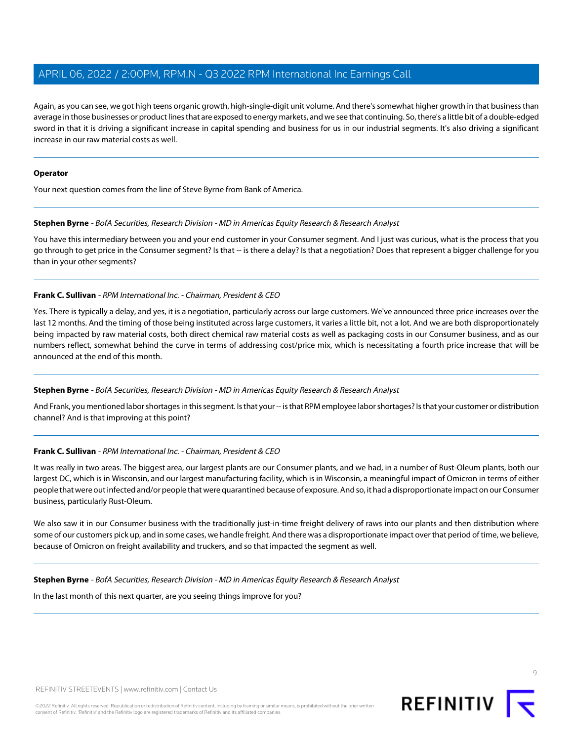Again, as you can see, we got high teens organic growth, high-single-digit unit volume. And there's somewhat higher growth in that business than average in those businesses or product lines that are exposed to energy markets, and we see that continuing. So, there's a little bit of a double-edged sword in that it is driving a significant increase in capital spending and business for us in our industrial segments. It's also driving a significant increase in our raw material costs as well.

#### **Operator**

<span id="page-8-0"></span>Your next question comes from the line of Steve Byrne from Bank of America.

#### **Stephen Byrne** - BofA Securities, Research Division - MD in Americas Equity Research & Research Analyst

You have this intermediary between you and your end customer in your Consumer segment. And I just was curious, what is the process that you go through to get price in the Consumer segment? Is that -- is there a delay? Is that a negotiation? Does that represent a bigger challenge for you than in your other segments?

#### **Frank C. Sullivan** - RPM International Inc. - Chairman, President & CEO

Yes. There is typically a delay, and yes, it is a negotiation, particularly across our large customers. We've announced three price increases over the last 12 months. And the timing of those being instituted across large customers, it varies a little bit, not a lot. And we are both disproportionately being impacted by raw material costs, both direct chemical raw material costs as well as packaging costs in our Consumer business, and as our numbers reflect, somewhat behind the curve in terms of addressing cost/price mix, which is necessitating a fourth price increase that will be announced at the end of this month.

#### **Stephen Byrne** - BofA Securities, Research Division - MD in Americas Equity Research & Research Analyst

And Frank, you mentioned labor shortages in this segment. Is that your -- is that RPM employee labor shortages? Is that your customer or distribution channel? And is that improving at this point?

#### **Frank C. Sullivan** - RPM International Inc. - Chairman, President & CEO

It was really in two areas. The biggest area, our largest plants are our Consumer plants, and we had, in a number of Rust-Oleum plants, both our largest DC, which is in Wisconsin, and our largest manufacturing facility, which is in Wisconsin, a meaningful impact of Omicron in terms of either people that were out infected and/or people that were quarantined because of exposure. And so, it had a disproportionate impact on our Consumer business, particularly Rust-Oleum.

We also saw it in our Consumer business with the traditionally just-in-time freight delivery of raws into our plants and then distribution where some of our customers pick up, and in some cases, we handle freight. And there was a disproportionate impact over that period of time, we believe, because of Omicron on freight availability and truckers, and so that impacted the segment as well.

**Stephen Byrne** - BofA Securities, Research Division - MD in Americas Equity Research & Research Analyst

In the last month of this next quarter, are you seeing things improve for you?

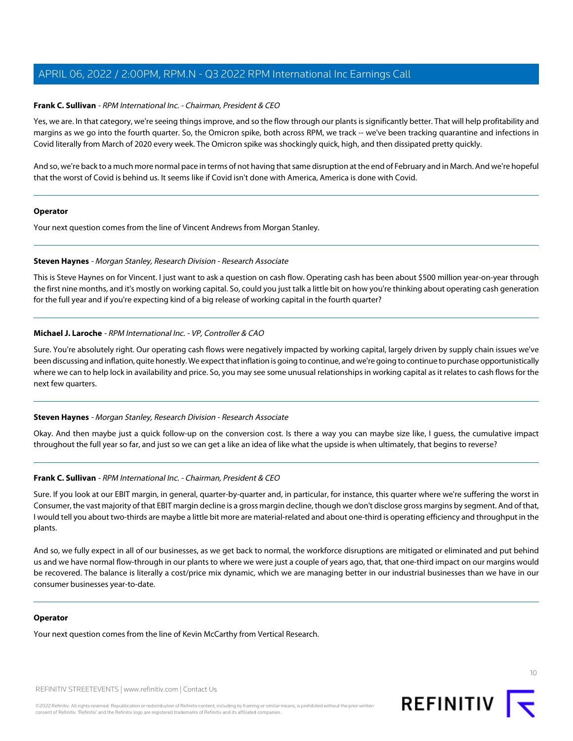#### **Frank C. Sullivan** - RPM International Inc. - Chairman, President & CEO

Yes, we are. In that category, we're seeing things improve, and so the flow through our plants is significantly better. That will help profitability and margins as we go into the fourth quarter. So, the Omicron spike, both across RPM, we track -- we've been tracking quarantine and infections in Covid literally from March of 2020 every week. The Omicron spike was shockingly quick, high, and then dissipated pretty quickly.

And so, we're back to a much more normal pace in terms of not having that same disruption at the end of February and in March. And we're hopeful that the worst of Covid is behind us. It seems like if Covid isn't done with America, America is done with Covid.

#### **Operator**

<span id="page-9-0"></span>Your next question comes from the line of Vincent Andrews from Morgan Stanley.

#### **Steven Haynes** - Morgan Stanley, Research Division - Research Associate

This is Steve Haynes on for Vincent. I just want to ask a question on cash flow. Operating cash has been about \$500 million year-on-year through the first nine months, and it's mostly on working capital. So, could you just talk a little bit on how you're thinking about operating cash generation for the full year and if you're expecting kind of a big release of working capital in the fourth quarter?

#### **Michael J. Laroche** - RPM International Inc. - VP, Controller & CAO

Sure. You're absolutely right. Our operating cash flows were negatively impacted by working capital, largely driven by supply chain issues we've been discussing and inflation, quite honestly. We expect that inflation is going to continue, and we're going to continue to purchase opportunistically where we can to help lock in availability and price. So, you may see some unusual relationships in working capital as it relates to cash flows for the next few quarters.

#### **Steven Haynes** - Morgan Stanley, Research Division - Research Associate

Okay. And then maybe just a quick follow-up on the conversion cost. Is there a way you can maybe size like, I guess, the cumulative impact throughout the full year so far, and just so we can get a like an idea of like what the upside is when ultimately, that begins to reverse?

#### **Frank C. Sullivan** - RPM International Inc. - Chairman, President & CEO

Sure. If you look at our EBIT margin, in general, quarter-by-quarter and, in particular, for instance, this quarter where we're suffering the worst in Consumer, the vast majority of that EBIT margin decline is a gross margin decline, though we don't disclose gross margins by segment. And of that, I would tell you about two-thirds are maybe a little bit more are material-related and about one-third is operating efficiency and throughput in the plants.

And so, we fully expect in all of our businesses, as we get back to normal, the workforce disruptions are mitigated or eliminated and put behind us and we have normal flow-through in our plants to where we were just a couple of years ago, that, that one-third impact on our margins would be recovered. The balance is literally a cost/price mix dynamic, which we are managing better in our industrial businesses than we have in our consumer businesses year-to-date.

#### **Operator**

Your next question comes from the line of Kevin McCarthy from Vertical Research.

REFINITIV STREETEVENTS | [www.refinitiv.com](https://www.refinitiv.com/) | [Contact Us](https://www.refinitiv.com/en/contact-us)

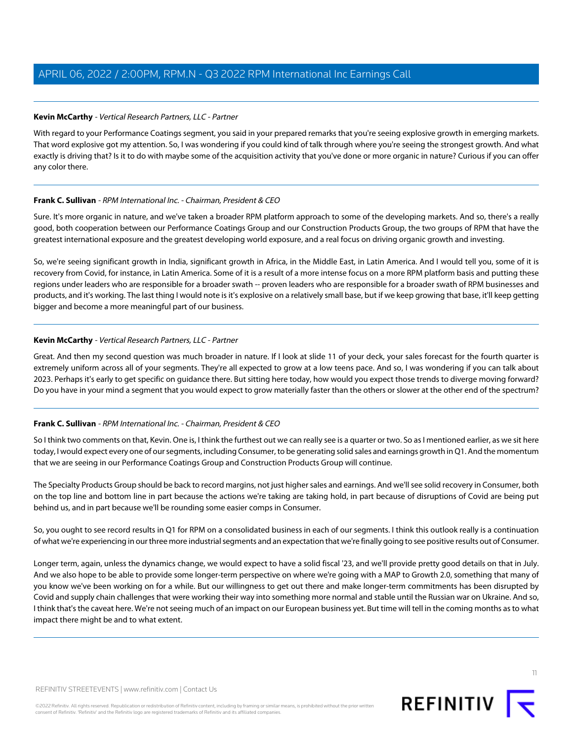#### <span id="page-10-0"></span>**Kevin McCarthy** - Vertical Research Partners, LLC - Partner

With regard to your Performance Coatings segment, you said in your prepared remarks that you're seeing explosive growth in emerging markets. That word explosive got my attention. So, I was wondering if you could kind of talk through where you're seeing the strongest growth. And what exactly is driving that? Is it to do with maybe some of the acquisition activity that you've done or more organic in nature? Curious if you can offer any color there.

#### **Frank C. Sullivan** - RPM International Inc. - Chairman, President & CEO

Sure. It's more organic in nature, and we've taken a broader RPM platform approach to some of the developing markets. And so, there's a really good, both cooperation between our Performance Coatings Group and our Construction Products Group, the two groups of RPM that have the greatest international exposure and the greatest developing world exposure, and a real focus on driving organic growth and investing.

So, we're seeing significant growth in India, significant growth in Africa, in the Middle East, in Latin America. And I would tell you, some of it is recovery from Covid, for instance, in Latin America. Some of it is a result of a more intense focus on a more RPM platform basis and putting these regions under leaders who are responsible for a broader swath -- proven leaders who are responsible for a broader swath of RPM businesses and products, and it's working. The last thing I would note is it's explosive on a relatively small base, but if we keep growing that base, it'll keep getting bigger and become a more meaningful part of our business.

#### **Kevin McCarthy** - Vertical Research Partners, LLC - Partner

Great. And then my second question was much broader in nature. If I look at slide 11 of your deck, your sales forecast for the fourth quarter is extremely uniform across all of your segments. They're all expected to grow at a low teens pace. And so, I was wondering if you can talk about 2023. Perhaps it's early to get specific on guidance there. But sitting here today, how would you expect those trends to diverge moving forward? Do you have in your mind a segment that you would expect to grow materially faster than the others or slower at the other end of the spectrum?

#### **Frank C. Sullivan** - RPM International Inc. - Chairman, President & CEO

So I think two comments on that, Kevin. One is, I think the furthest out we can really see is a quarter or two. So as I mentioned earlier, as we sit here today, I would expect every one of our segments, including Consumer, to be generating solid sales and earnings growth in Q1. And the momentum that we are seeing in our Performance Coatings Group and Construction Products Group will continue.

The Specialty Products Group should be back to record margins, not just higher sales and earnings. And we'll see solid recovery in Consumer, both on the top line and bottom line in part because the actions we're taking are taking hold, in part because of disruptions of Covid are being put behind us, and in part because we'll be rounding some easier comps in Consumer.

So, you ought to see record results in Q1 for RPM on a consolidated business in each of our segments. I think this outlook really is a continuation of what we're experiencing in our three more industrial segments and an expectation that we're finally going to see positive results out of Consumer.

Longer term, again, unless the dynamics change, we would expect to have a solid fiscal '23, and we'll provide pretty good details on that in July. And we also hope to be able to provide some longer-term perspective on where we're going with a MAP to Growth 2.0, something that many of you know we've been working on for a while. But our willingness to get out there and make longer-term commitments has been disrupted by Covid and supply chain challenges that were working their way into something more normal and stable until the Russian war on Ukraine. And so, I think that's the caveat here. We're not seeing much of an impact on our European business yet. But time will tell in the coming months as to what impact there might be and to what extent.

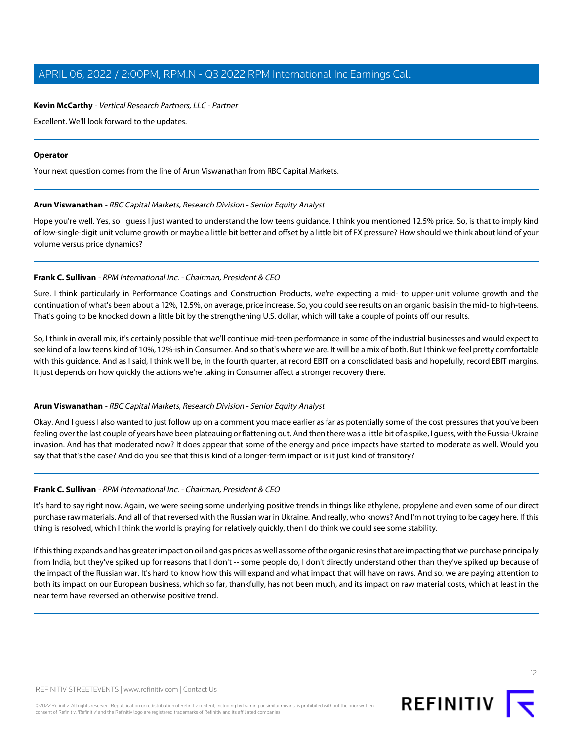#### **Kevin McCarthy** - Vertical Research Partners, LLC - Partner

Excellent. We'll look forward to the updates.

#### **Operator**

<span id="page-11-0"></span>Your next question comes from the line of Arun Viswanathan from RBC Capital Markets.

#### **Arun Viswanathan** - RBC Capital Markets, Research Division - Senior Equity Analyst

Hope you're well. Yes, so I guess I just wanted to understand the low teens guidance. I think you mentioned 12.5% price. So, is that to imply kind of low-single-digit unit volume growth or maybe a little bit better and offset by a little bit of FX pressure? How should we think about kind of your volume versus price dynamics?

#### **Frank C. Sullivan** - RPM International Inc. - Chairman, President & CEO

Sure. I think particularly in Performance Coatings and Construction Products, we're expecting a mid- to upper-unit volume growth and the continuation of what's been about a 12%, 12.5%, on average, price increase. So, you could see results on an organic basis in the mid- to high-teens. That's going to be knocked down a little bit by the strengthening U.S. dollar, which will take a couple of points off our results.

So, I think in overall mix, it's certainly possible that we'll continue mid-teen performance in some of the industrial businesses and would expect to see kind of a low teens kind of 10%, 12%-ish in Consumer. And so that's where we are. It will be a mix of both. But I think we feel pretty comfortable with this guidance. And as I said, I think we'll be, in the fourth quarter, at record EBIT on a consolidated basis and hopefully, record EBIT margins. It just depends on how quickly the actions we're taking in Consumer affect a stronger recovery there.

#### **Arun Viswanathan** - RBC Capital Markets, Research Division - Senior Equity Analyst

Okay. And I guess I also wanted to just follow up on a comment you made earlier as far as potentially some of the cost pressures that you've been feeling over the last couple of years have been plateauing or flattening out. And then there was a little bit of a spike, I guess, with the Russia-Ukraine invasion. And has that moderated now? It does appear that some of the energy and price impacts have started to moderate as well. Would you say that that's the case? And do you see that this is kind of a longer-term impact or is it just kind of transitory?

#### **Frank C. Sullivan** - RPM International Inc. - Chairman, President & CEO

It's hard to say right now. Again, we were seeing some underlying positive trends in things like ethylene, propylene and even some of our direct purchase raw materials. And all of that reversed with the Russian war in Ukraine. And really, who knows? And I'm not trying to be cagey here. If this thing is resolved, which I think the world is praying for relatively quickly, then I do think we could see some stability.

If this thing expands and has greater impact on oil and gas prices as well as some of the organic resins that are impacting that we purchase principally from India, but they've spiked up for reasons that I don't -- some people do, I don't directly understand other than they've spiked up because of the impact of the Russian war. It's hard to know how this will expand and what impact that will have on raws. And so, we are paying attention to both its impact on our European business, which so far, thankfully, has not been much, and its impact on raw material costs, which at least in the near term have reversed an otherwise positive trend.

12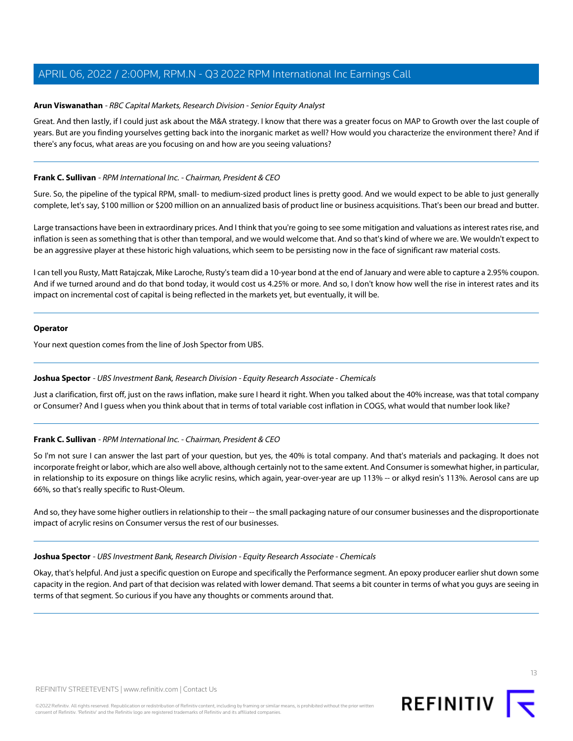#### **Arun Viswanathan** - RBC Capital Markets, Research Division - Senior Equity Analyst

Great. And then lastly, if I could just ask about the M&A strategy. I know that there was a greater focus on MAP to Growth over the last couple of years. But are you finding yourselves getting back into the inorganic market as well? How would you characterize the environment there? And if there's any focus, what areas are you focusing on and how are you seeing valuations?

#### **Frank C. Sullivan** - RPM International Inc. - Chairman, President & CEO

Sure. So, the pipeline of the typical RPM, small- to medium-sized product lines is pretty good. And we would expect to be able to just generally complete, let's say, \$100 million or \$200 million on an annualized basis of product line or business acquisitions. That's been our bread and butter.

Large transactions have been in extraordinary prices. And I think that you're going to see some mitigation and valuations as interest rates rise, and inflation is seen as something that is other than temporal, and we would welcome that. And so that's kind of where we are. We wouldn't expect to be an aggressive player at these historic high valuations, which seem to be persisting now in the face of significant raw material costs.

I can tell you Rusty, Matt Ratajczak, Mike Laroche, Rusty's team did a 10-year bond at the end of January and were able to capture a 2.95% coupon. And if we turned around and do that bond today, it would cost us 4.25% or more. And so, I don't know how well the rise in interest rates and its impact on incremental cost of capital is being reflected in the markets yet, but eventually, it will be.

#### **Operator**

<span id="page-12-0"></span>Your next question comes from the line of Josh Spector from UBS.

#### **Joshua Spector** - UBS Investment Bank, Research Division - Equity Research Associate - Chemicals

Just a clarification, first off, just on the raws inflation, make sure I heard it right. When you talked about the 40% increase, was that total company or Consumer? And I guess when you think about that in terms of total variable cost inflation in COGS, what would that number look like?

#### **Frank C. Sullivan** - RPM International Inc. - Chairman, President & CEO

So I'm not sure I can answer the last part of your question, but yes, the 40% is total company. And that's materials and packaging. It does not incorporate freight or labor, which are also well above, although certainly not to the same extent. And Consumer is somewhat higher, in particular, in relationship to its exposure on things like acrylic resins, which again, year-over-year are up 113% -- or alkyd resin's 113%. Aerosol cans are up 66%, so that's really specific to Rust-Oleum.

And so, they have some higher outliers in relationship to their -- the small packaging nature of our consumer businesses and the disproportionate impact of acrylic resins on Consumer versus the rest of our businesses.

#### **Joshua Spector** - UBS Investment Bank, Research Division - Equity Research Associate - Chemicals

Okay, that's helpful. And just a specific question on Europe and specifically the Performance segment. An epoxy producer earlier shut down some capacity in the region. And part of that decision was related with lower demand. That seems a bit counter in terms of what you guys are seeing in terms of that segment. So curious if you have any thoughts or comments around that.

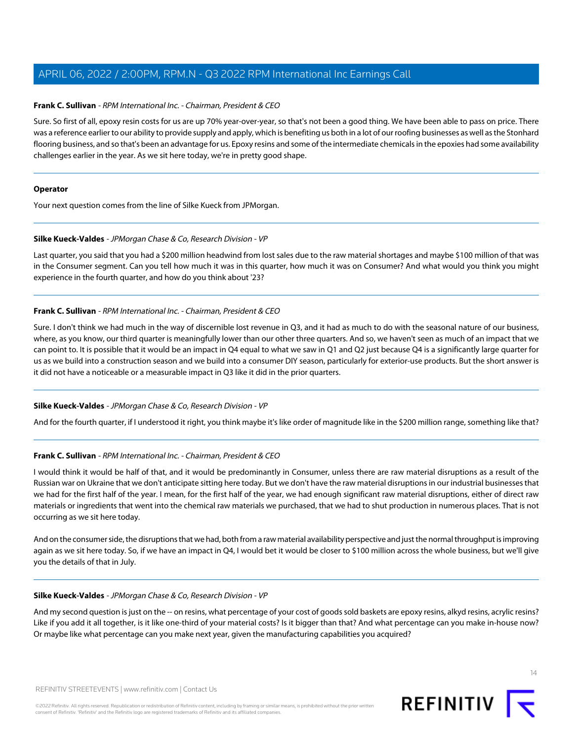#### **Frank C. Sullivan** - RPM International Inc. - Chairman, President & CEO

Sure. So first of all, epoxy resin costs for us are up 70% year-over-year, so that's not been a good thing. We have been able to pass on price. There was a reference earlier to our ability to provide supply and apply, which is benefiting us both in a lot of our roofing businesses as well as the Stonhard flooring business, and so that's been an advantage for us. Epoxy resins and some of the intermediate chemicals in the epoxies had some availability challenges earlier in the year. As we sit here today, we're in pretty good shape.

#### **Operator**

<span id="page-13-0"></span>Your next question comes from the line of Silke Kueck from JPMorgan.

#### **Silke Kueck-Valdes** - JPMorgan Chase & Co, Research Division - VP

Last quarter, you said that you had a \$200 million headwind from lost sales due to the raw material shortages and maybe \$100 million of that was in the Consumer segment. Can you tell how much it was in this quarter, how much it was on Consumer? And what would you think you might experience in the fourth quarter, and how do you think about '23?

#### **Frank C. Sullivan** - RPM International Inc. - Chairman, President & CEO

Sure. I don't think we had much in the way of discernible lost revenue in Q3, and it had as much to do with the seasonal nature of our business, where, as you know, our third quarter is meaningfully lower than our other three quarters. And so, we haven't seen as much of an impact that we can point to. It is possible that it would be an impact in Q4 equal to what we saw in Q1 and Q2 just because Q4 is a significantly large quarter for us as we build into a construction season and we build into a consumer DIY season, particularly for exterior-use products. But the short answer is it did not have a noticeable or a measurable impact in Q3 like it did in the prior quarters.

#### **Silke Kueck-Valdes** - JPMorgan Chase & Co, Research Division - VP

And for the fourth quarter, if I understood it right, you think maybe it's like order of magnitude like in the \$200 million range, something like that?

#### **Frank C. Sullivan** - RPM International Inc. - Chairman, President & CEO

I would think it would be half of that, and it would be predominantly in Consumer, unless there are raw material disruptions as a result of the Russian war on Ukraine that we don't anticipate sitting here today. But we don't have the raw material disruptions in our industrial businesses that we had for the first half of the year. I mean, for the first half of the year, we had enough significant raw material disruptions, either of direct raw materials or ingredients that went into the chemical raw materials we purchased, that we had to shut production in numerous places. That is not occurring as we sit here today.

And on the consumer side, the disruptions that we had, both from a raw material availability perspective and just the normal throughput is improving again as we sit here today. So, if we have an impact in Q4, I would bet it would be closer to \$100 million across the whole business, but we'll give you the details of that in July.

#### **Silke Kueck-Valdes** - JPMorgan Chase & Co, Research Division - VP

And my second question is just on the -- on resins, what percentage of your cost of goods sold baskets are epoxy resins, alkyd resins, acrylic resins? Like if you add it all together, is it like one-third of your material costs? Is it bigger than that? And what percentage can you make in-house now? Or maybe like what percentage can you make next year, given the manufacturing capabilities you acquired?

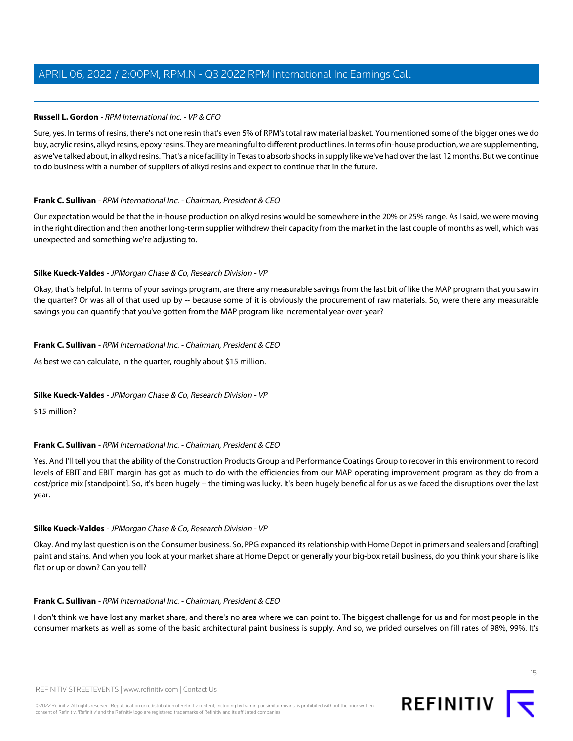#### **Russell L. Gordon** - RPM International Inc. - VP & CFO

Sure, yes. In terms of resins, there's not one resin that's even 5% of RPM's total raw material basket. You mentioned some of the bigger ones we do buy, acrylic resins, alkyd resins, epoxy resins. They are meaningful to different product lines. In terms of in-house production, we are supplementing, as we've talked about, in alkyd resins. That's a nice facility in Texas to absorb shocks in supply like we've had over the last 12 months. But we continue to do business with a number of suppliers of alkyd resins and expect to continue that in the future.

#### **Frank C. Sullivan** - RPM International Inc. - Chairman, President & CEO

Our expectation would be that the in-house production on alkyd resins would be somewhere in the 20% or 25% range. As I said, we were moving in the right direction and then another long-term supplier withdrew their capacity from the market in the last couple of months as well, which was unexpected and something we're adjusting to.

#### **Silke Kueck-Valdes** - JPMorgan Chase & Co, Research Division - VP

Okay, that's helpful. In terms of your savings program, are there any measurable savings from the last bit of like the MAP program that you saw in the quarter? Or was all of that used up by -- because some of it is obviously the procurement of raw materials. So, were there any measurable savings you can quantify that you've gotten from the MAP program like incremental year-over-year?

#### **Frank C. Sullivan** - RPM International Inc. - Chairman, President & CEO

As best we can calculate, in the quarter, roughly about \$15 million.

#### **Silke Kueck-Valdes** - JPMorgan Chase & Co, Research Division - VP

\$15 million?

#### **Frank C. Sullivan** - RPM International Inc. - Chairman, President & CEO

Yes. And I'll tell you that the ability of the Construction Products Group and Performance Coatings Group to recover in this environment to record levels of EBIT and EBIT margin has got as much to do with the efficiencies from our MAP operating improvement program as they do from a cost/price mix [standpoint]. So, it's been hugely -- the timing was lucky. It's been hugely beneficial for us as we faced the disruptions over the last year.

#### **Silke Kueck-Valdes** - JPMorgan Chase & Co, Research Division - VP

Okay. And my last question is on the Consumer business. So, PPG expanded its relationship with Home Depot in primers and sealers and [crafting] paint and stains. And when you look at your market share at Home Depot or generally your big-box retail business, do you think your share is like flat or up or down? Can you tell?

#### **Frank C. Sullivan** - RPM International Inc. - Chairman, President & CEO

I don't think we have lost any market share, and there's no area where we can point to. The biggest challenge for us and for most people in the consumer markets as well as some of the basic architectural paint business is supply. And so, we prided ourselves on fill rates of 98%, 99%. It's

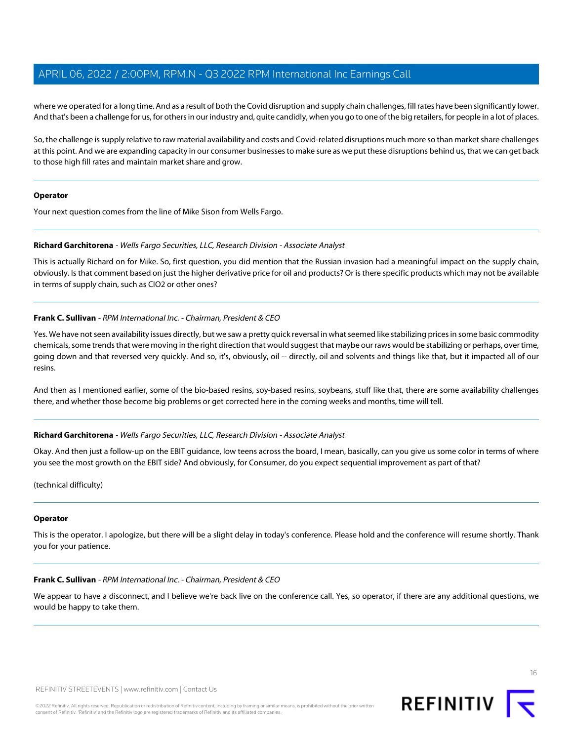where we operated for a long time. And as a result of both the Covid disruption and supply chain challenges, fill rates have been significantly lower. And that's been a challenge for us, for others in our industry and, quite candidly, when you go to one of the big retailers, for people in a lot of places.

So, the challenge is supply relative to raw material availability and costs and Covid-related disruptions much more so than market share challenges at this point. And we are expanding capacity in our consumer businesses to make sure as we put these disruptions behind us, that we can get back to those high fill rates and maintain market share and grow.

#### **Operator**

<span id="page-15-0"></span>Your next question comes from the line of Mike Sison from Wells Fargo.

#### **Richard Garchitorena** - Wells Fargo Securities, LLC, Research Division - Associate Analyst

This is actually Richard on for Mike. So, first question, you did mention that the Russian invasion had a meaningful impact on the supply chain, obviously. Is that comment based on just the higher derivative price for oil and products? Or is there specific products which may not be available in terms of supply chain, such as CIO2 or other ones?

#### **Frank C. Sullivan** - RPM International Inc. - Chairman, President & CEO

Yes. We have not seen availability issues directly, but we saw a pretty quick reversal in what seemed like stabilizing prices in some basic commodity chemicals, some trends that were moving in the right direction that would suggest that maybe our raws would be stabilizing or perhaps, over time, going down and that reversed very quickly. And so, it's, obviously, oil -- directly, oil and solvents and things like that, but it impacted all of our resins.

And then as I mentioned earlier, some of the bio-based resins, soy-based resins, soybeans, stuff like that, there are some availability challenges there, and whether those become big problems or get corrected here in the coming weeks and months, time will tell.

#### **Richard Garchitorena** - Wells Fargo Securities, LLC, Research Division - Associate Analyst

Okay. And then just a follow-up on the EBIT guidance, low teens across the board, I mean, basically, can you give us some color in terms of where you see the most growth on the EBIT side? And obviously, for Consumer, do you expect sequential improvement as part of that?

(technical difficulty)

#### **Operator**

This is the operator. I apologize, but there will be a slight delay in today's conference. Please hold and the conference will resume shortly. Thank you for your patience.

#### **Frank C. Sullivan** - RPM International Inc. - Chairman, President & CEO

We appear to have a disconnect, and I believe we're back live on the conference call. Yes, so operator, if there are any additional questions, we would be happy to take them.



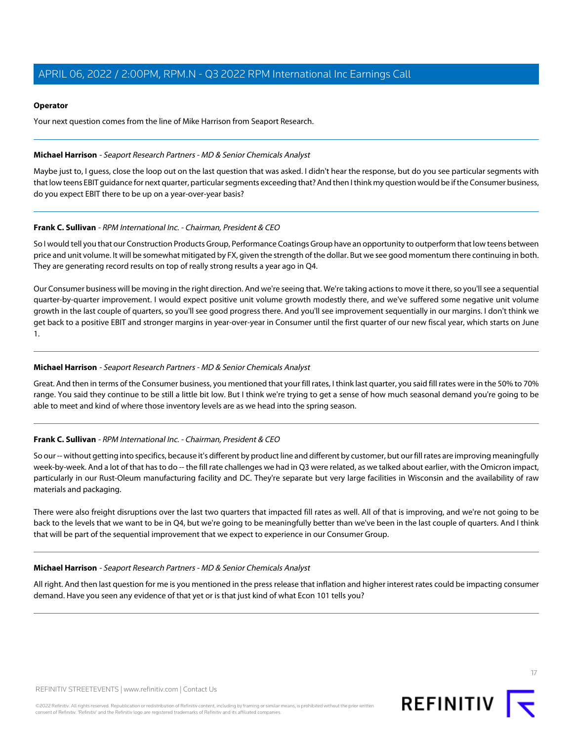#### **Operator**

Your next question comes from the line of Mike Harrison from Seaport Research.

#### <span id="page-16-0"></span>**Michael Harrison** - Seaport Research Partners - MD & Senior Chemicals Analyst

Maybe just to, I guess, close the loop out on the last question that was asked. I didn't hear the response, but do you see particular segments with that low teens EBIT guidance for next quarter, particular segments exceeding that? And then I think my question would be if the Consumer business, do you expect EBIT there to be up on a year-over-year basis?

#### **Frank C. Sullivan** - RPM International Inc. - Chairman, President & CEO

So I would tell you that our Construction Products Group, Performance Coatings Group have an opportunity to outperform that low teens between price and unit volume. It will be somewhat mitigated by FX, given the strength of the dollar. But we see good momentum there continuing in both. They are generating record results on top of really strong results a year ago in Q4.

Our Consumer business will be moving in the right direction. And we're seeing that. We're taking actions to move it there, so you'll see a sequential quarter-by-quarter improvement. I would expect positive unit volume growth modestly there, and we've suffered some negative unit volume growth in the last couple of quarters, so you'll see good progress there. And you'll see improvement sequentially in our margins. I don't think we get back to a positive EBIT and stronger margins in year-over-year in Consumer until the first quarter of our new fiscal year, which starts on June 1.

#### **Michael Harrison** - Seaport Research Partners - MD & Senior Chemicals Analyst

Great. And then in terms of the Consumer business, you mentioned that your fill rates, I think last quarter, you said fill rates were in the 50% to 70% range. You said they continue to be still a little bit low. But I think we're trying to get a sense of how much seasonal demand you're going to be able to meet and kind of where those inventory levels are as we head into the spring season.

#### **Frank C. Sullivan** - RPM International Inc. - Chairman, President & CEO

So our -- without getting into specifics, because it's different by product line and different by customer, but our fill rates are improving meaningfully week-by-week. And a lot of that has to do -- the fill rate challenges we had in Q3 were related, as we talked about earlier, with the Omicron impact, particularly in our Rust-Oleum manufacturing facility and DC. They're separate but very large facilities in Wisconsin and the availability of raw materials and packaging.

There were also freight disruptions over the last two quarters that impacted fill rates as well. All of that is improving, and we're not going to be back to the levels that we want to be in Q4, but we're going to be meaningfully better than we've been in the last couple of quarters. And I think that will be part of the sequential improvement that we expect to experience in our Consumer Group.

#### **Michael Harrison** - Seaport Research Partners - MD & Senior Chemicals Analyst

All right. And then last question for me is you mentioned in the press release that inflation and higher interest rates could be impacting consumer demand. Have you seen any evidence of that yet or is that just kind of what Econ 101 tells you?